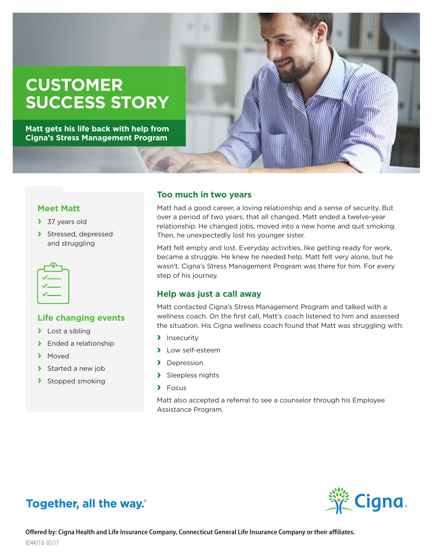# **CUSTOMER SUCCESS STORY**

**Matt gets his life back with help from Cigna's Stress Management Program**



#### **Meet Matt**

- **›** 37 years old
- **›** Stressed, depressed and struggling



#### **Life changing events**

- **›** Lost a sibling
- **›** Ended a relationship
- **›** Moved
- **›** Started a new job
- **›** Stopped smoking

#### **Too much in two years**

Matt had a good career, a loving relationship and a sense of security. But over a period of two years, that all changed. Matt ended a twelve-year relationship. He changed jobs, moved into a new home and quit smoking. Then, he unexpectedly lost his younger sister.

Matt felt empty and lost. Everyday activities, like getting ready for work, became a struggle. He knew he needed help. Matt felt very alone, but he wasn't. Cigna's Stress Management Program was there for him. For every step of his journey.

#### **Help was just a call away**

Matt contacted Cigna's Stress Management Program and talked with a wellness coach. On the first call, Matt's coach listened to him and assessed the situation. His Cigna wellness coach found that Matt was struggling with:

- **›** Insecurity
- **›** Low self-esteem
- **›** Depression
- **›** Sleepless nights
- **›** Focus

Matt also accepted a referral to see a counselor through his Employee Assistance Program.



## Together, all the way.